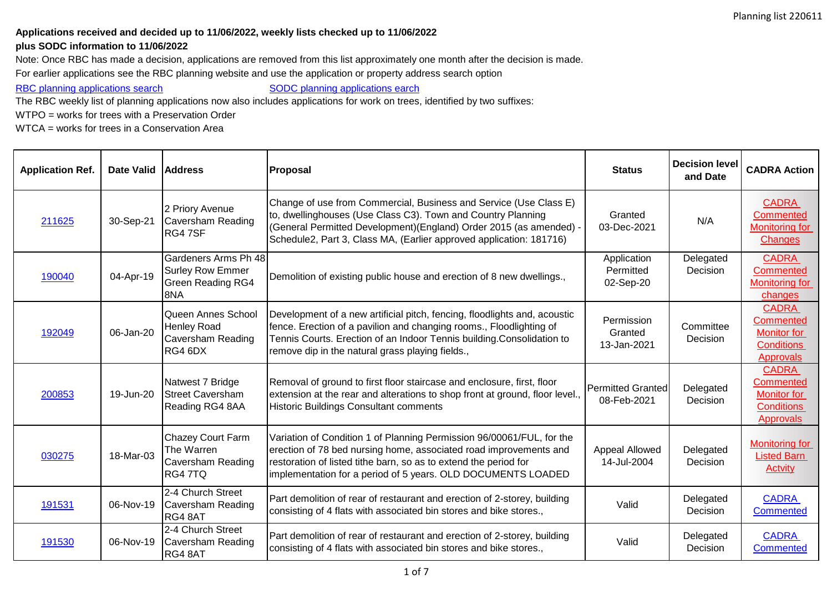## **Applications received and decided up to 11/06/2022, weekly lists checked up to 11/06/2022**

## **plus SODC information to 11/06/2022**

Note: Once RBC has made a decision, applications are removed from this list approximately one month after the decision is made.

For earlier applications see the RBC planning website and use the application or property address search option

[RBC planning applications search](http://planning.reading.gov.uk/fastweb_PL/welcome.asp) [SODC planning applications earch](http://www.southoxon.gov.uk/ccm/support/Main.jsp?MODULE=ApplicationCriteria&TYPE=Application)

The RBC weekly list of planning applications now also includes applications for work on trees, identified by two suffixes:

WTPO = works for trees with a Preservation Order

WTCA = works for trees in a Conservation Area

| <b>Application Ref.</b> | Date Valid Address |                                                                                    | Proposal                                                                                                                                                                                                                                                                        | <b>Status</b>                           | <b>Decision level</b><br>and Date | <b>CADRA Action</b>                                                                      |
|-------------------------|--------------------|------------------------------------------------------------------------------------|---------------------------------------------------------------------------------------------------------------------------------------------------------------------------------------------------------------------------------------------------------------------------------|-----------------------------------------|-----------------------------------|------------------------------------------------------------------------------------------|
| 211625                  | 30-Sep-21          | 2 Priory Avenue<br>Caversham Reading<br>RG4 7SF                                    | Change of use from Commercial, Business and Service (Use Class E)<br>to, dwellinghouses (Use Class C3). Town and Country Planning<br>(General Permitted Development) (England) Order 2015 (as amended) -<br>Schedule2, Part 3, Class MA, (Earlier approved application: 181716) | Granted<br>03-Dec-2021                  | N/A                               | <b>CADRA</b><br><b>Commented</b><br><b>Monitoring for</b><br><b>Changes</b>              |
| 190040                  | 04-Apr-19          | Gardeners Arms Ph 48<br><b>Surley Row Emmer</b><br><b>Green Reading RG4</b><br>8NA | Demolition of existing public house and erection of 8 new dwellings.,                                                                                                                                                                                                           | Application<br>Permitted<br>02-Sep-20   | Delegated<br>Decision             | <b>CADRA</b><br>Commented<br><b>Monitoring for</b><br>changes                            |
| 192049                  | 06-Jan-20          | Queen Annes School<br><b>Henley Road</b><br>Caversham Reading<br>RG4 6DX           | Development of a new artificial pitch, fencing, floodlights and, acoustic<br>fence. Erection of a pavilion and changing rooms., Floodlighting of<br>Tennis Courts. Erection of an Indoor Tennis building.Consolidation to<br>remove dip in the natural grass playing fields.,   | Permission<br>Granted<br>13-Jan-2021    | Committee<br>Decision             | <b>CADRA</b><br>Commented<br><b>Monitor for</b><br><b>Conditions</b><br><b>Approvals</b> |
| 200853                  | 19-Jun-20          | Natwest 7 Bridge<br><b>Street Caversham</b><br>Reading RG4 8AA                     | Removal of ground to first floor staircase and enclosure, first, floor<br>extension at the rear and alterations to shop front at ground, floor level.,<br><b>Historic Buildings Consultant comments</b>                                                                         | <b>Permitted Granted</b><br>08-Feb-2021 | Delegated<br>Decision             | <b>CADRA</b><br>Commented<br><b>Monitor for</b><br><b>Conditions</b><br><b>Approvals</b> |
| 030275                  | 18-Mar-03          | <b>Chazey Court Farm</b><br>The Warren<br><b>Caversham Reading</b><br>RG4 7TQ      | Variation of Condition 1 of Planning Permission 96/00061/FUL, for the<br>erection of 78 bed nursing home, associated road improvements and<br>restoration of listed tithe barn, so as to extend the period for<br>implementation for a period of 5 years. OLD DOCUMENTS LOADED  | Appeal Allowed<br>14-Jul-2004           | Delegated<br>Decision             | <b>Monitoring for</b><br><b>Listed Barn</b><br>Actvity                                   |
| 191531                  | 06-Nov-19          | 2-4 Church Street<br>Caversham Reading<br>RG4 8AT                                  | Part demolition of rear of restaurant and erection of 2-storey, building<br>consisting of 4 flats with associated bin stores and bike stores.,                                                                                                                                  | Valid                                   | Delegated<br>Decision             | <b>CADRA</b><br><b>Commented</b>                                                         |
| 191530                  | 06-Nov-19          | 2-4 Church Street<br>Caversham Reading<br>RG4 8AT                                  | Part demolition of rear of restaurant and erection of 2-storey, building<br>consisting of 4 flats with associated bin stores and bike stores.,                                                                                                                                  | Valid                                   | Delegated<br>Decision             | <b>CADRA</b><br>Commented                                                                |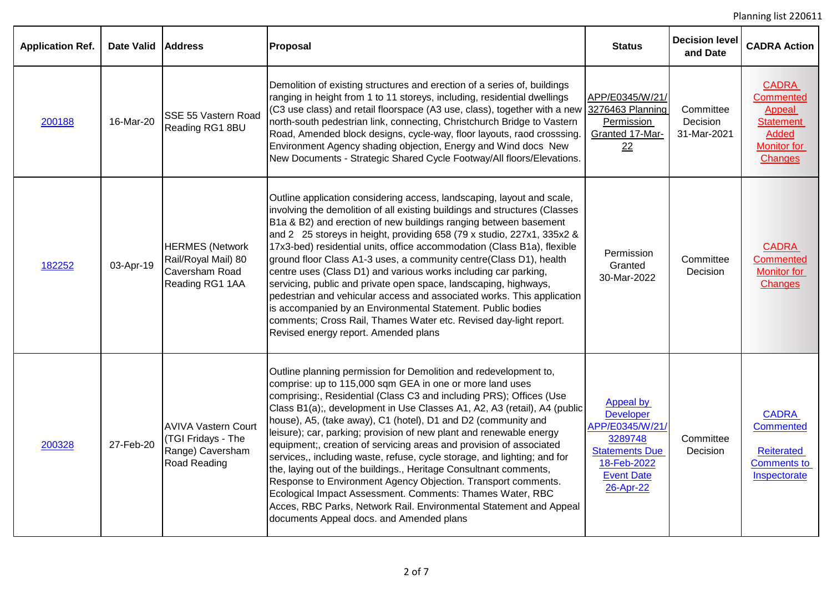| <b>Application Ref.</b> | <b>Date Valid</b> | <b>Address</b>                                                                       | Proposal                                                                                                                                                                                                                                                                                                                                                                                                                                                                                                                                                                                                                                                                                                                                                                                                                                                                                        | <b>Status</b>                                                                                                                         | <b>Decision level</b><br>and Date    | <b>CADRA Action</b>                                                                                             |
|-------------------------|-------------------|--------------------------------------------------------------------------------------|-------------------------------------------------------------------------------------------------------------------------------------------------------------------------------------------------------------------------------------------------------------------------------------------------------------------------------------------------------------------------------------------------------------------------------------------------------------------------------------------------------------------------------------------------------------------------------------------------------------------------------------------------------------------------------------------------------------------------------------------------------------------------------------------------------------------------------------------------------------------------------------------------|---------------------------------------------------------------------------------------------------------------------------------------|--------------------------------------|-----------------------------------------------------------------------------------------------------------------|
| 200188                  | 16-Mar-20         | SSE 55 Vastern Road<br>Reading RG1 8BU                                               | Demolition of existing structures and erection of a series of, buildings<br>ranging in height from 1 to 11 storeys, including, residential dwellings<br>(C3 use class) and retail floorspace (A3 use, class), together with a new 3276463 Planning<br>north-south pedestrian link, connecting, Christchurch Bridge to Vastern<br>Road, Amended block designs, cycle-way, floor layouts, raod crosssing.<br>Environment Agency shading objection, Energy and Wind docs New<br>New Documents - Strategic Shared Cycle Footway/All floors/Elevations.                                                                                                                                                                                                                                                                                                                                              | APP/E0345/W/21/<br>Permission<br>Granted 17-Mar-<br>22                                                                                | Committee<br>Decision<br>31-Mar-2021 | <b>CADRA</b><br>Commented<br>Appeal<br><b>Statement</b><br><b>Added</b><br><b>Monitor for</b><br><b>Changes</b> |
| 182252                  | 03-Apr-19         | <b>HERMES</b> (Network<br>Rail/Royal Mail) 80<br>Caversham Road<br>Reading RG1 1AA   | Outline application considering access, landscaping, layout and scale,<br>involving the demolition of all existing buildings and structures (Classes<br>B1a & B2) and erection of new buildings ranging between basement<br>and 2 25 storeys in height, providing 658 (79 x studio, 227x1, 335x2 &<br>17x3-bed) residential units, office accommodation (Class B1a), flexible<br>ground floor Class A1-3 uses, a community centre(Class D1), health<br>centre uses (Class D1) and various works including car parking,<br>servicing, public and private open space, landscaping, highways,<br>pedestrian and vehicular access and associated works. This application<br>is accompanied by an Environmental Statement. Public bodies<br>comments; Cross Rail, Thames Water etc. Revised day-light report.<br>Revised energy report. Amended plans                                                | Permission<br>Granted<br>30-Mar-2022                                                                                                  | Committee<br>Decision                | <b>CADRA</b><br><b>Commented</b><br><b>Monitor for</b><br><b>Changes</b>                                        |
| 200328                  | 27-Feb-20         | <b>AVIVA Vastern Court</b><br>(TGI Fridays - The<br>Range) Caversham<br>Road Reading | Outline planning permission for Demolition and redevelopment to,<br>comprise: up to 115,000 sqm GEA in one or more land uses<br>comprising:, Residential (Class C3 and including PRS); Offices (Use<br>Class B1(a);, development in Use Classes A1, A2, A3 (retail), A4 (public<br>house), A5, (take away), C1 (hotel), D1 and D2 (community and<br>leisure); car, parking; provision of new plant and renewable energy<br>equipment;, creation of servicing areas and provision of associated<br>services,, including waste, refuse, cycle storage, and lighting; and for<br>the, laying out of the buildings., Heritage Consultnant comments,<br>Response to Environment Agency Objection. Transport comments.<br>Ecological Impact Assessment. Comments: Thames Water, RBC<br>Acces, RBC Parks, Network Rail. Environmental Statement and Appeal<br>documents Appeal docs. and Amended plans | Appeal by<br><b>Developer</b><br>APP/E0345/W/21/<br>3289748<br><b>Statements Due</b><br>18-Feb-2022<br><b>Event Date</b><br>26-Apr-22 | Committee<br>Decision                | <b>CADRA</b><br><b>Commented</b><br><b>Reiterated</b><br><b>Comments to</b><br>Inspectorate                     |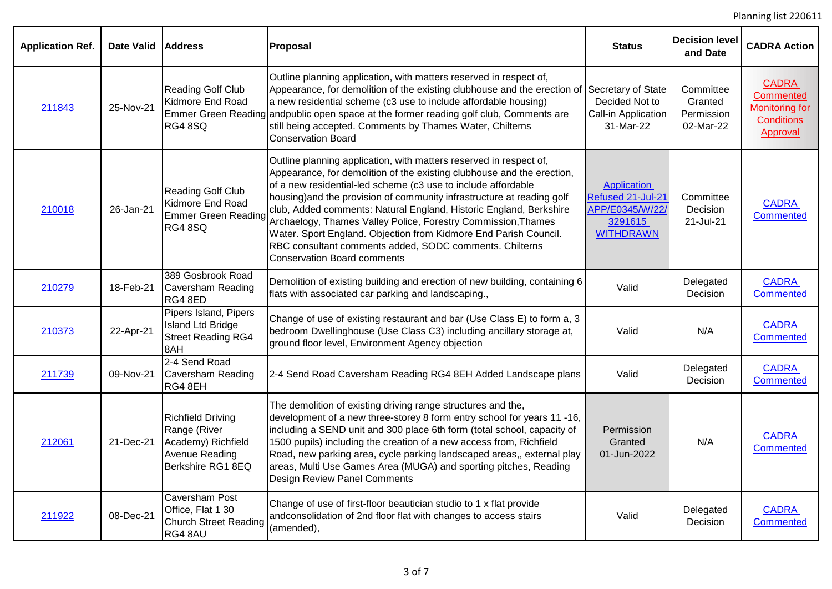Planning list 220611

| <b>Application Ref.</b> | <b>Date Valid</b> | <b>Address</b>                                                                                        | Proposal                                                                                                                                                                                                                                                                                                                                                                                                                                                                                                                                                                                            | <b>Status</b>                                                                      | <b>Decision level</b><br>and Date               | <b>CADRA Action</b>                                                                        |
|-------------------------|-------------------|-------------------------------------------------------------------------------------------------------|-----------------------------------------------------------------------------------------------------------------------------------------------------------------------------------------------------------------------------------------------------------------------------------------------------------------------------------------------------------------------------------------------------------------------------------------------------------------------------------------------------------------------------------------------------------------------------------------------------|------------------------------------------------------------------------------------|-------------------------------------------------|--------------------------------------------------------------------------------------------|
| 211843                  | 25-Nov-21         | Reading Golf Club<br>Kidmore End Road<br><b>RG4 8SQ</b>                                               | Outline planning application, with matters reserved in respect of,<br>Appearance, for demolition of the existing clubhouse and the erection of Secretary of State<br>a new residential scheme (c3 use to include affordable housing)<br>Emmer Green Reading andpublic open space at the former reading golf club, Comments are<br>still being accepted. Comments by Thames Water, Chilterns<br><b>Conservation Board</b>                                                                                                                                                                            | Decided Not to<br>Call-in Application<br>31-Mar-22                                 | Committee<br>Granted<br>Permission<br>02-Mar-22 | <b>CADRA</b><br><b>Commented</b><br><b>Monitoring for</b><br><b>Conditions</b><br>Approval |
| 210018                  | 26-Jan-21         | Reading Golf Club<br>Kidmore End Road<br><b>Emmer Green Reading</b><br><b>RG4 8SQ</b>                 | Outline planning application, with matters reserved in respect of,<br>Appearance, for demolition of the existing clubhouse and the erection,<br>of a new residential-led scheme (c3 use to include affordable<br>housing) and the provision of community infrastructure at reading golf<br>club, Added comments: Natural England, Historic England, Berkshire<br>Archaelogy, Thames Valley Police, Forestry Commission, Thames<br>Water. Sport England. Objection from Kidmore End Parish Council.<br>RBC consultant comments added, SODC comments. Chilterns<br><b>Conservation Board comments</b> | Application<br>Refused 21-Jul-21<br>APP/E0345/W/22/<br>3291615<br><b>WITHDRAWN</b> | Committee<br>Decision<br>21-Jul-21              | <b>CADRA</b><br><b>Commented</b>                                                           |
| 210279                  | 18-Feb-21         | 389 Gosbrook Road<br><b>Caversham Reading</b><br>RG4 8ED                                              | Demolition of existing building and erection of new building, containing 6<br>flats with associated car parking and landscaping.,                                                                                                                                                                                                                                                                                                                                                                                                                                                                   | Valid                                                                              | Delegated<br>Decision                           | <b>CADRA</b><br><b>Commented</b>                                                           |
| 210373                  | 22-Apr-21         | Pipers Island, Pipers<br><b>Island Ltd Bridge</b><br><b>Street Reading RG4</b><br>8AH                 | Change of use of existing restaurant and bar (Use Class E) to form a, 3<br>bedroom Dwellinghouse (Use Class C3) including ancillary storage at,<br>ground floor level, Environment Agency objection                                                                                                                                                                                                                                                                                                                                                                                                 | Valid                                                                              | N/A                                             | <b>CADRA</b><br><b>Commented</b>                                                           |
| 211739                  | 09-Nov-21         | 2-4 Send Road<br>Caversham Reading<br>RG4 8EH                                                         | 2-4 Send Road Caversham Reading RG4 8EH Added Landscape plans                                                                                                                                                                                                                                                                                                                                                                                                                                                                                                                                       | Valid                                                                              | Delegated<br>Decision                           | <b>CADRA</b><br><b>Commented</b>                                                           |
| 212061                  | 21-Dec-21         | <b>Richfield Driving</b><br>Range (River<br>Academy) Richfield<br>Avenue Reading<br>Berkshire RG1 8EQ | The demolition of existing driving range structures and the,<br>development of a new three-storey 8 form entry school for years 11 -16,<br>including a SEND unit and 300 place 6th form (total school, capacity of<br>1500 pupils) including the creation of a new access from, Richfield<br>Road, new parking area, cycle parking landscaped areas,, external play<br>areas, Multi Use Games Area (MUGA) and sporting pitches, Reading<br>Design Review Panel Comments                                                                                                                             | Permission<br>Granted<br>01-Jun-2022                                               | N/A                                             | <b>CADRA</b><br>Commented                                                                  |
| 211922                  | 08-Dec-21         | Caversham Post<br>Office, Flat 1 30<br><b>Church Street Reading</b><br>RG4 8AU                        | Change of use of first-floor beautician studio to 1 x flat provide<br>andconsolidation of 2nd floor flat with changes to access stairs<br>(amended),                                                                                                                                                                                                                                                                                                                                                                                                                                                | Valid                                                                              | Delegated<br>Decision                           | <b>CADRA</b><br><b>Commented</b>                                                           |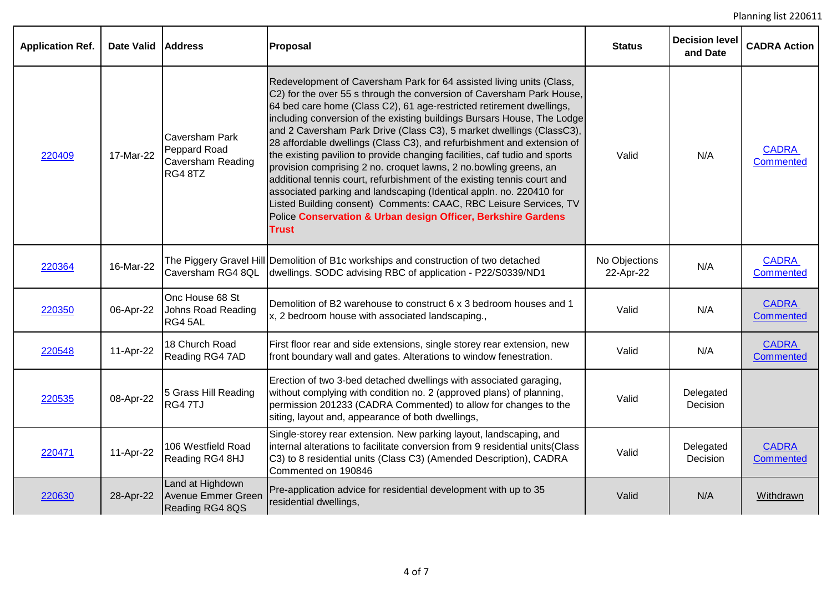| <b>Application Ref.</b> | <b>Date Valid</b> | <b>Address</b>                                                        | <b>Proposal</b>                                                                                                                                                                                                                                                                                                                                                                                                                                                                                                                                                                                                                                                                                                                                                                                                                                                                                               | <b>Status</b>              | <b>Decision level</b><br>and Date | <b>CADRA Action</b>              |
|-------------------------|-------------------|-----------------------------------------------------------------------|---------------------------------------------------------------------------------------------------------------------------------------------------------------------------------------------------------------------------------------------------------------------------------------------------------------------------------------------------------------------------------------------------------------------------------------------------------------------------------------------------------------------------------------------------------------------------------------------------------------------------------------------------------------------------------------------------------------------------------------------------------------------------------------------------------------------------------------------------------------------------------------------------------------|----------------------------|-----------------------------------|----------------------------------|
| 220409                  | 17-Mar-22         | Caversham Park<br>Peppard Road<br><b>Caversham Reading</b><br>RG4 8TZ | Redevelopment of Caversham Park for 64 assisted living units (Class,<br>C2) for the over 55 s through the conversion of Caversham Park House,<br>64 bed care home (Class C2), 61 age-restricted retirement dwellings,<br>including conversion of the existing buildings Bursars House, The Lodge<br>and 2 Caversham Park Drive (Class C3), 5 market dwellings (ClassC3),<br>28 affordable dwellings (Class C3), and refurbishment and extension of<br>the existing pavilion to provide changing facilities, caf tudio and sports<br>provision comprising 2 no. croquet lawns, 2 no.bowling greens, an<br>additional tennis court, refurbishment of the existing tennis court and<br>associated parking and landscaping (Identical appln. no. 220410 for<br>Listed Building consent) Comments: CAAC, RBC Leisure Services, TV<br>Police Conservation & Urban design Officer, Berkshire Gardens<br><b>Trust</b> | Valid                      | N/A                               | <b>CADRA</b><br><b>Commented</b> |
| 220364                  | 16-Mar-22         | Caversham RG4 8QL                                                     | The Piggery Gravel Hill Demolition of B1c workships and construction of two detached<br>dwellings. SODC advising RBC of application - P22/S0339/ND1                                                                                                                                                                                                                                                                                                                                                                                                                                                                                                                                                                                                                                                                                                                                                           | No Objections<br>22-Apr-22 | N/A                               | <b>CADRA</b><br><b>Commented</b> |
| 220350                  | 06-Apr-22         | Onc House 68 St<br>Johns Road Reading<br>RG4 5AL                      | Demolition of B2 warehouse to construct 6 x 3 bedroom houses and 1<br>x, 2 bedroom house with associated landscaping.,                                                                                                                                                                                                                                                                                                                                                                                                                                                                                                                                                                                                                                                                                                                                                                                        | Valid                      | N/A                               | <b>CADRA</b><br><b>Commented</b> |
| 220548                  | 11-Apr-22         | 18 Church Road<br>Reading RG4 7AD                                     | First floor rear and side extensions, single storey rear extension, new<br>front boundary wall and gates. Alterations to window fenestration.                                                                                                                                                                                                                                                                                                                                                                                                                                                                                                                                                                                                                                                                                                                                                                 | Valid                      | N/A                               | <b>CADRA</b><br><b>Commented</b> |
| 220535                  | 08-Apr-22         | 5 Grass Hill Reading<br>RG4 7TJ                                       | Erection of two 3-bed detached dwellings with associated garaging,<br>without complying with condition no. 2 (approved plans) of planning,<br>permission 201233 (CADRA Commented) to allow for changes to the<br>siting, layout and, appearance of both dwellings,                                                                                                                                                                                                                                                                                                                                                                                                                                                                                                                                                                                                                                            | Valid                      | Delegated<br>Decision             |                                  |
| 220471                  | 11-Apr-22         | 106 Westfield Road<br>Reading RG4 8HJ                                 | Single-storey rear extension. New parking layout, landscaping, and<br>internal alterations to facilitate conversion from 9 residential units(Class<br>C3) to 8 residential units (Class C3) (Amended Description), CADRA<br>Commented on 190846                                                                                                                                                                                                                                                                                                                                                                                                                                                                                                                                                                                                                                                               | Valid                      | Delegated<br>Decision             | <b>CADRA</b><br><b>Commented</b> |
| 220630                  | 28-Apr-22         | Land at Highdown<br><b>Avenue Emmer Green</b><br>Reading RG4 8QS      | Pre-application advice for residential development with up to 35<br>residential dwellings,                                                                                                                                                                                                                                                                                                                                                                                                                                                                                                                                                                                                                                                                                                                                                                                                                    | Valid                      | N/A                               | Withdrawn                        |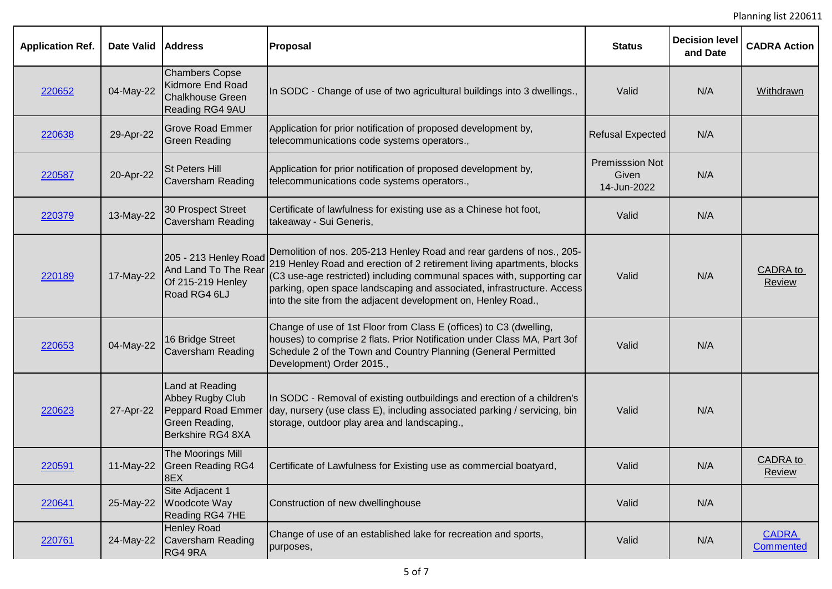| <b>Application Ref.</b> | <b>Date Valid</b> | <b>Address</b>                                                                                   | Proposal                                                                                                                                                                                                                                                                                                                                                             | <b>Status</b>                                  | <b>Decision level</b><br>and Date | <b>CADRA Action</b>              |
|-------------------------|-------------------|--------------------------------------------------------------------------------------------------|----------------------------------------------------------------------------------------------------------------------------------------------------------------------------------------------------------------------------------------------------------------------------------------------------------------------------------------------------------------------|------------------------------------------------|-----------------------------------|----------------------------------|
| 220652                  | 04-May-22         | <b>Chambers Copse</b><br><b>Kidmore End Road</b><br><b>Chalkhouse Green</b><br>Reading RG4 9AU   | In SODC - Change of use of two agricultural buildings into 3 dwellings.,                                                                                                                                                                                                                                                                                             | Valid                                          | N/A                               | Withdrawn                        |
| 220638                  | 29-Apr-22         | <b>Grove Road Emmer</b><br><b>Green Reading</b>                                                  | Application for prior notification of proposed development by,<br>telecommunications code systems operators.,                                                                                                                                                                                                                                                        | <b>Refusal Expected</b>                        | N/A                               |                                  |
| 220587                  | 20-Apr-22         | <b>St Peters Hill</b><br><b>Caversham Reading</b>                                                | Application for prior notification of proposed development by,<br>telecommunications code systems operators.,                                                                                                                                                                                                                                                        | <b>Premisssion Not</b><br>Given<br>14-Jun-2022 | N/A                               |                                  |
| 220379                  | 13-May-22         | 30 Prospect Street<br><b>Caversham Reading</b>                                                   | Certificate of lawfulness for existing use as a Chinese hot foot,<br>takeaway - Sui Generis,                                                                                                                                                                                                                                                                         | Valid                                          | N/A                               |                                  |
| 220189                  | 17-May-22         | 205 - 213 Henley Road<br>And Land To The Rear<br>Of 215-219 Henley<br>Road RG4 6LJ               | Demolition of nos. 205-213 Henley Road and rear gardens of nos., 205-<br>219 Henley Road and erection of 2 retirement living apartments, blocks<br>(C3 use-age restricted) including communal spaces with, supporting car<br>parking, open space landscaping and associated, infrastructure. Access<br>into the site from the adjacent development on, Henley Road., | Valid                                          | N/A                               | <b>CADRA</b> to<br>Review        |
| 220653                  | 04-May-22         | 16 Bridge Street<br><b>Caversham Reading</b>                                                     | Change of use of 1st Floor from Class E (offices) to C3 (dwelling,<br>houses) to comprise 2 flats. Prior Notification under Class MA, Part 3of<br>Schedule 2 of the Town and Country Planning (General Permitted<br>Development) Order 2015.,                                                                                                                        | Valid                                          | N/A                               |                                  |
| 220623                  | 27-Apr-22         | Land at Reading<br>Abbey Rugby Club<br>Peppard Road Emmer<br>Green Reading,<br>Berkshire RG4 8XA | In SODC - Removal of existing outbuildings and erection of a children's<br>day, nursery (use class E), including associated parking / servicing, bin<br>storage, outdoor play area and landscaping.,                                                                                                                                                                 | Valid                                          | N/A                               |                                  |
| 220591                  | 11-May-22         | The Moorings Mill<br><b>Green Reading RG4</b><br>8EX                                             | Certificate of Lawfulness for Existing use as commercial boatyard,                                                                                                                                                                                                                                                                                                   | Valid                                          | N/A                               | CADRA to<br><b>Review</b>        |
| 220641                  | 25-May-22         | Site Adjacent 1<br>Woodcote Way<br>Reading RG4 7HE                                               | Construction of new dwellinghouse                                                                                                                                                                                                                                                                                                                                    | Valid                                          | N/A                               |                                  |
| 220761                  | 24-May-22         | <b>Henley Road</b><br>Caversham Reading<br>RG4 9RA                                               | Change of use of an established lake for recreation and sports,<br>purposes,                                                                                                                                                                                                                                                                                         | Valid                                          | N/A                               | <b>CADRA</b><br><b>Commented</b> |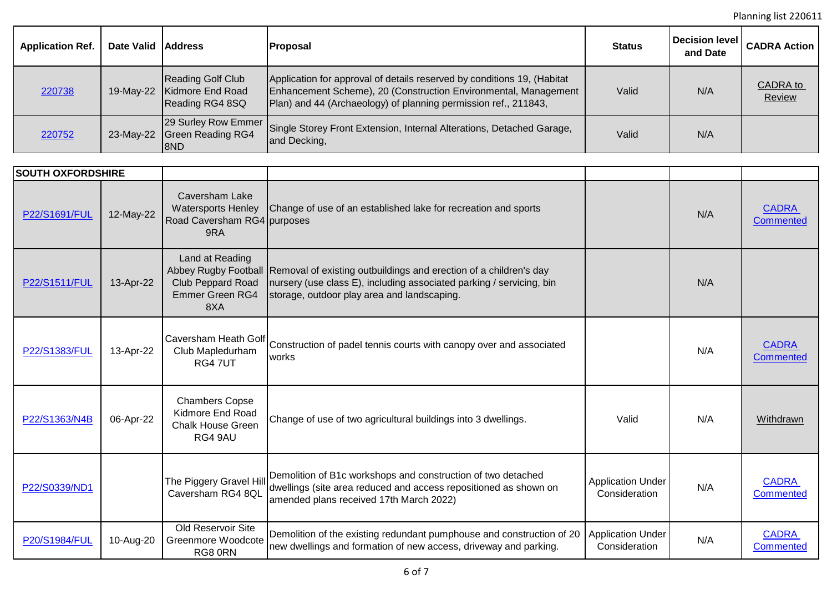Planning list 220611

| <b>Application Ref.</b> | Date Valid Address |                                                          | <b>Proposal</b>                                                                                                                                                                                               | <b>Status</b> | Decision level<br>and Date | <b>CADRA Action  </b> |
|-------------------------|--------------------|----------------------------------------------------------|---------------------------------------------------------------------------------------------------------------------------------------------------------------------------------------------------------------|---------------|----------------------------|-----------------------|
| 220738                  | 19-May-22          | Reading Golf Club<br>Kidmore End Road<br>Reading RG4 8SQ | Application for approval of details reserved by conditions 19, (Habitat<br>Enhancement Scheme), 20 (Construction Environmental, Management<br>Plan) and 44 (Archaeology) of planning permission ref., 211843, | Valid         | N/A                        | CADRA to<br>Review    |
| 220752                  |                    | 23-May-22 Green Reading RG4<br>18ND                      | 29 Surley Row Emmer Single Storey Front Extension, Internal Alterations, Detached Garage,<br>and Decking,                                                                                                     | Valid         | N/A                        |                       |

| <b>SOUTH OXFORDSHIRE</b> |           |                                                                                   |                                                                                                                                                                                                               |                                           |     |                                  |
|--------------------------|-----------|-----------------------------------------------------------------------------------|---------------------------------------------------------------------------------------------------------------------------------------------------------------------------------------------------------------|-------------------------------------------|-----|----------------------------------|
| P22/S1691/FUL            | 12-May-22 | Caversham Lake<br><b>Watersports Henley</b><br>Road Caversham RG4 purposes<br>9RA | Change of use of an established lake for recreation and sports                                                                                                                                                |                                           | N/A | <b>CADRA</b><br>Commented        |
| P22/S1511/FUL            | 13-Apr-22 | Land at Reading<br>Club Peppard Road<br><b>Emmer Green RG4</b><br>8XA             | Abbey Rugby Football Removal of existing outbuildings and erection of a children's day<br>nursery (use class E), including associated parking / servicing, bin<br>storage, outdoor play area and landscaping. |                                           | N/A |                                  |
| P22/S1383/FUL            | 13-Apr-22 | Club Mapledurham<br>RG47UT                                                        | Caversham Heath Golf Construction of padel tennis courts with canopy over and associated<br>works                                                                                                             |                                           | N/A | <b>CADRA</b><br>Commented        |
| P22/S1363/N4B            | 06-Apr-22 | <b>Chambers Copse</b><br>Kidmore End Road<br><b>Chalk House Green</b><br>RG4 9AU  | Change of use of two agricultural buildings into 3 dwellings.                                                                                                                                                 | Valid                                     | N/A | Withdrawn                        |
| P22/S0339/ND1            |           | The Piggery Gravel Hill<br>Caversham RG4 8QL                                      | Demolition of B1c workshops and construction of two detached<br>dwellings (site area reduced and access repositioned as shown on<br>amended plans received 17th March 2022)                                   | <b>Application Under</b><br>Consideration | N/A | <b>CADRA</b><br><b>Commented</b> |
| P20/S1984/FUL            | 10-Aug-20 | Old Reservoir Site<br>Greenmore Woodcote<br>RG8 0RN                               | Demolition of the existing redundant pumphouse and construction of 20<br>new dwellings and formation of new access, driveway and parking.                                                                     | <b>Application Under</b><br>Consideration | N/A | <b>CADRA</b><br><b>Commented</b> |